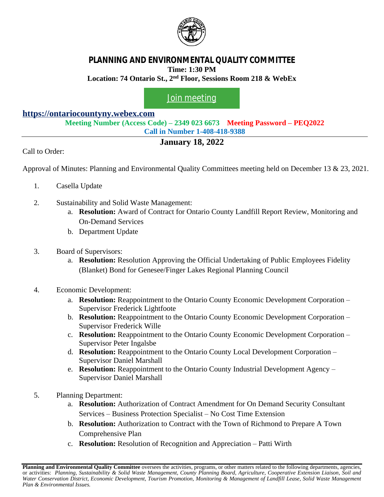

## **PLANNING AND ENVIRONMENTAL QUALITY COMMITTEE Time: 1:30 PM**

**Location: 74 Ontario St., 2nd Floor, Sessions Room 218 & WebEx**

## [Join meeting](https://ontariocountyny.webex.com/)

## **<https://ontariocountyny.webex.com>**

**Meeting Number (Access Code) – 2349 023 6673 Meeting Password – PEQ2022 Call in Number 1-408-418-9388**

## **January 18, 2022**

Call to Order:

Approval of Minutes: Planning and Environmental Quality Committees meeting held on December 13 & 23, 2021.

- 1. Casella Update
- 2. Sustainability and Solid Waste Management:
	- a. **Resolution:** Award of Contract for Ontario County Landfill Report Review, Monitoring and On-Demand Services
	- b. Department Update
- 3. Board of Supervisors:
	- a. **Resolution:** Resolution Approving the Official Undertaking of Public Employees Fidelity (Blanket) Bond for Genesee/Finger Lakes Regional Planning Council
- 4. Economic Development:
	- a. **Resolution:** Reappointment to the Ontario County Economic Development Corporation Supervisor Frederick Lightfoote
	- b. **Resolution:** Reappointment to the Ontario County Economic Development Corporation Supervisor Frederick Wille
	- c. **Resolution:** Reappointment to the Ontario County Economic Development Corporation Supervisor Peter Ingalsbe
	- d. **Resolution:** Reappointment to the Ontario County Local Development Corporation Supervisor Daniel Marshall
	- e. **Resolution:** Reappointment to the Ontario County Industrial Development Agency Supervisor Daniel Marshall
- 5. Planning Department:
	- a. **Resolution:** Authorization of Contract Amendment for On Demand Security Consultant Services – Business Protection Specialist – No Cost Time Extension
	- b. **Resolution:** Authorization to Contract with the Town of Richmond to Prepare A Town Comprehensive Plan
	- c. **Resolution:** Resolution of Recognition and Appreciation Patti Wirth

**Planning and Environmental Quality Committee** oversees the activities, programs, or other matters related to the following departments, agencies, or activities: Planning, Sustainability & Solid Waste Management, County Planning Board, Agriculture, Cooperative Extension Liaison, Soil and Water Conservation District, Economic Development, Tourism Promotion, Monitoring & Management of Landfill Lease, Solid Waste Management *Plan & Environmental Issues.*